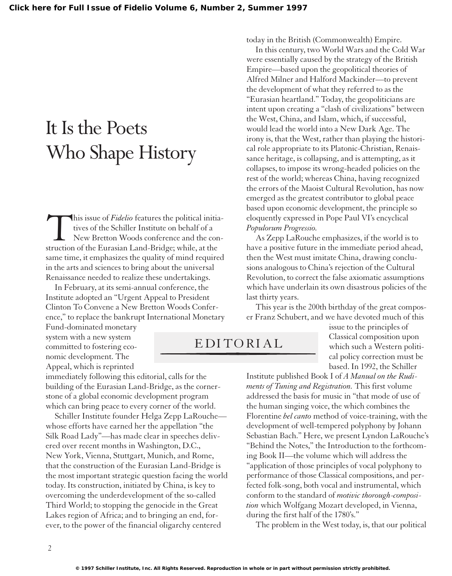## It Is the Poets Who Shape History

This issue of *Fidelio* features the political initia-<br>tives of the Schiller Institute on behalf of a<br>New Bretton Woods conference and the con-<br>struction of the Eurasian Land-Bridge; while, at the tives of the Schiller Institute on behalf of a New Bretton Woods conference and the construction of the Eurasian Land-Bridge; while, at the same time, it emphasizes the quality of mind required in the arts and sciences to bring about the universal Renaissance needed to realize these undertakings.

In February, at its semi-annual conference, the Institute adopted an "Urgent Appeal to President Clinton To Convene a New Bretton Woods Conference," to replace the bankrupt International Monetary

Fund-dominated monetary system with a new system committed to fostering economic development. The Appeal, which is reprinted

immediately following this editorial, calls for the building of the Eurasian Land-Bridge, as the cornerstone of a global economic development program which can bring peace to every corner of the world.

Schiller Institute founder Helga Zepp LaRouche whose efforts have earned her the appellation "the Silk Road Lady"—has made clear in speeches delivered over recent months in Washington, D.C., New York, Vienna, Stuttgart, Munich, and Rome, that the construction of the Eurasian Land-Bridge is the most important strategic question facing the world today. Its construction, initiated by China, is key to overcoming the underdevelopment of the so-called Third World; to stopping the genocide in the Great Lakes region of Africa; and to bringing an end, forever, to the power of the financial oligarchy centered

today in the British (Commonwealth) Empire.

In this century, two World Wars and the Cold War were essentially caused by the strategy of the British Empire—based upon the geopolitical theories of Alfred Milner and Halford Mackinder—to prevent the development of what they referred to as the "Eurasian heartland." Today, the geopoliticians are intent upon creating a "clash of civilizations" between the West, China, and Islam, which, if successful, would lead the world into a New Dark Age. The irony is, that the West, rather than playing the historical role appropriate to its Platonic-Christian, Renaissance heritage, is collapsing, and is attempting, as it collapses, to impose its wrong-headed policies on the rest of the world; whereas China, having recognized the errors of the Maoist Cultural Revolution, has now emerged as the greatest contributor to global peace based upon economic development, the principle so eloquently expressed in Pope Paul VI's encyclical *Populorum Progressio.*

As Zepp LaRouche emphasizes, if the world is to have a positive future in the immediate period ahead, then the West must imitate China, drawing conclusions analogous to China's rejection of the Cultural Revolution, to correct the false axiomatic assumptions which have underlain its own disastrous policies of the last thirty years.

This year is the 200th birthday of the great composer Franz Schubert, and we have devoted much of this

## EDITORIAL

issue to the principles of Classical composition upon which such a Western political policy correction must be based. In 1992, the Schiller

Institute published Book I of *A Manual on the Rudiments of Tuning and Registration.* This first volume addressed the basis for music in "that mode of use of the human singing voice, the which combines the Florentine *bel canto* method of voice-training, with the development of well-tempered polyphony by Johann Sebastian Bach." Here, we present Lyndon LaRouche's "Behind the Notes," the Introduction to the forthcoming Book II—the volume which will address the "application of those principles of vocal polyphony to performance of those Classical compositions, and perfected folk-song, both vocal and instrumental, which conform to the standard of *motivic thorough-composition* which Wolfgang Mozart developed, in Vienna, during the first half of the 1780's."

The problem in the West today, is, that our political